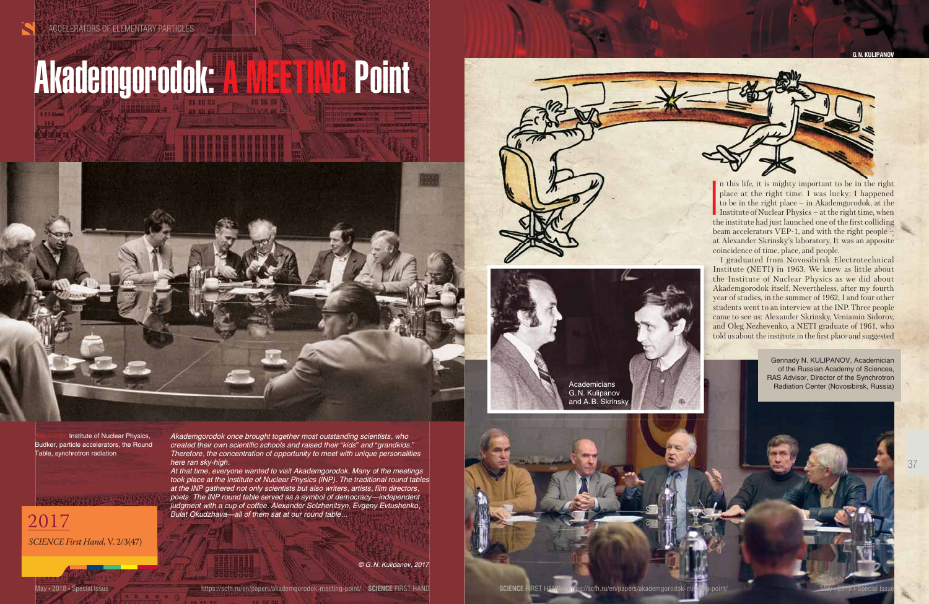







n this life, it is mighty important to be in the right place at the right time. I was lucky: I happened to be in the right place – in Akademgorodok, at the Institute of Nuclear Physics – at the right time, when the institute had just launched one of the first colliding beam accelerators VEP-1, and with the right people – at Alexander Skrinsky's laboratory. It was an apposite coincidence of time, place, and people.

I graduated from Novosibirsk Electrotechnical Institute (NETI) in 1963. We knew as little about the Institute of Nuclear Physics as we did about Akademgorodok itself. Nevertheless, after my fourth year of studies, in the summer of 1962, I and four other students went to an interview at the INP. Three people came to see us: Alexander Skrinsky, Veniamin Sidorov, and Oleg Nezhevenko, a NETI graduate of 1961, who told us about the institute in the first place and suggested

**Institute of Nuclear Physics,** Budker, particle accelerators, the Round Table, synchrotron radiation

#### **G. N. KULIPANOV**



*© G. N. Kulipanov, 2017*



*Akademgorodok once brought together most outstanding scientists, who created their own scientific schools and raised their "kids" and "grandkids." Therefore, the concentration of opportunity to meet with unique personalities here ran sky-high.* 

*At that time, everyone wanted to visit Akademgorodok. Many of the meetings took place at the Institute of Nuclear Physics (INP). The traditional round tables at the INP gathered not only scientists but also writers, artists, film directors, poets. The INP round table served as a symbol of democracy—independent judgment with a cup of coffee. Alexander Solzhenitsyn, Evgeny Evtushenko, Bulat Okudzhava—all of them sat at our round table...*

37

# Akademgorodok: A MEETING Point



2017 *SCIENCE First Hand*, V. 2/3(47)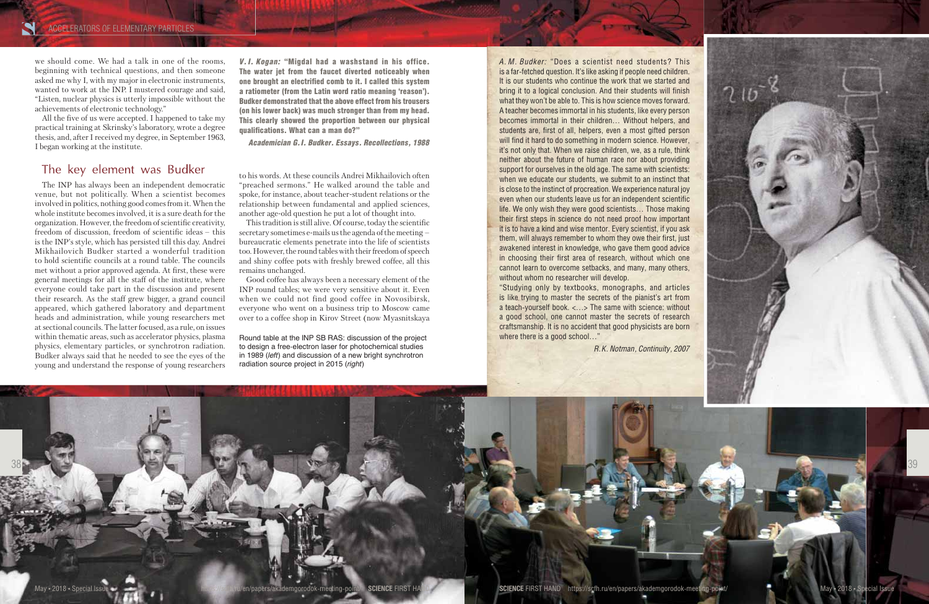#### ACCELERATORS OF ELEMENTARY PARTICLES

we should come. We had a talk in one of the rooms, beginning with technical questions, and then someone asked me why I, with my major in electronic instruments, wanted to work at the INP. I mustered courage and said, "Listen, nuclear physics is utterly impossible without the achievements of electronic technology."

All the five of us were accepted. I happened to take my practical training at Skrinsky's laboratory, wrote a degree thesis, and, after I received my degree, in September 1963, I began working at the institute.

#### The key element was Budker

The INP has always been an independent democratic venue, but not politically. When a scientist becomes involved in politics, nothing good comes from it. When the whole institute becomes involved, it is a sure death for the organization. However, the freedom of scientific creativity, freedom of discussion, freedom of scientific ideas – this is the INP's style, which has persisted till this day. Andrei Mikhailovich Budker started a wonderful tradition to hold scientific councils at a round table. The councils met without a prior approved agenda. At first, these were general meetings for all the staff of the institute, where everyone could take part in the discussion and present their research. As the staff grew bigger, a grand council appeared, which gathered laboratory and department heads and administration, while young researchers met at sectional councils. The latter focused, as a rule, on issues within thematic areas, such as accelerator physics, plasma physics, elementary particles, or synchrotron radiation. Budker always said that he needed to see the eyes of the young and understand the response of young researchers



to his words. At these councils Andrei Mikhailovich often "preached sermons." He walked around the table and spoke, for instance, about teacher-student relations or the relationship between fundamental and applied sciences, another age-old question he put a lot of thought into.

This tradition is still alive. Of course, today the scientific secretary sometimes e-mails us the agenda of the meeting – bureaucratic elements penetrate into the life of scientists too. However, the round tables with their freedom of speech and shiny coffee pots with freshly brewed coffee, all this remains unchanged.

> "Studying only by textbooks, monographs, and articles is like trying to master the secrets of the pianist's art from a teach-yourself book. <…> The same with science: without a good school, one cannot master the secrets of research craftsmanship. It is no accident that good physicists are born where there is a good school..."

Good coffee has always been a necessary element of the INP round tables; we were very sensitive about it. Even when we could not find good coffee in Novosibirsk, everyone who went on a business trip to Moscow came over to a coffee shop in Kirov Street (now Myasnitskaya

Round table at the INP SB RAS: discussion of the project to design a free-electron laser for photochemical studies in 1989 (*left*) and discussion of a new bright synchrotron radiation source project in 2015 (*right*)

*V. I. Kogan:* "Migdal had a washstand in his office. The water jet from the faucet diverted noticeably when one brought an electrified comb to it. I called this system a ratiometer (from the Latin word ratio meaning 'reason'). Budker demonstrated that the above effect from his trousers (on his lower back) was much stronger than from my head. This clearly showed the proportion between our physical qualifications. What can a man do?"

*Academician G. I. Budker. Essays. Recollections, 1988*

*A. M. Budker:* "Does a scientist need students? This is a far-fetched question. It's like asking if people need children. It is our students who continue the work that we started and bring it to a logical conclusion. And their students will finish what they won't be able to. This is how science moves forward. A teacher becomes immortal in his students, like every person becomes immortal in their children… Without helpers, and students are, first of all, helpers, even a most gifted person will find it hard to do something in modern science. However, it's not only that. When we raise children, we, as a rule, think neither about the future of human race nor about providing support for ourselves in the old age. The same with scientists: when we educate our students, we submit to an instinct that is close to the instinct of procreation. We experience natural joy even when our students leave us for an independent scientific life. We only wish they were good scientists… Those making their first steps in science do not need proof how important it is to have a kind and wise mentor. Every scientist, if you ask them, will always remember to whom they owe their first, just awakened interest in knowledge, who gave them good advice in choosing their first area of research, without which one cannot learn to overcome setbacks, and many, many others, without whom no researcher will develop.

*R. K. Notman, Continuity, 2007*

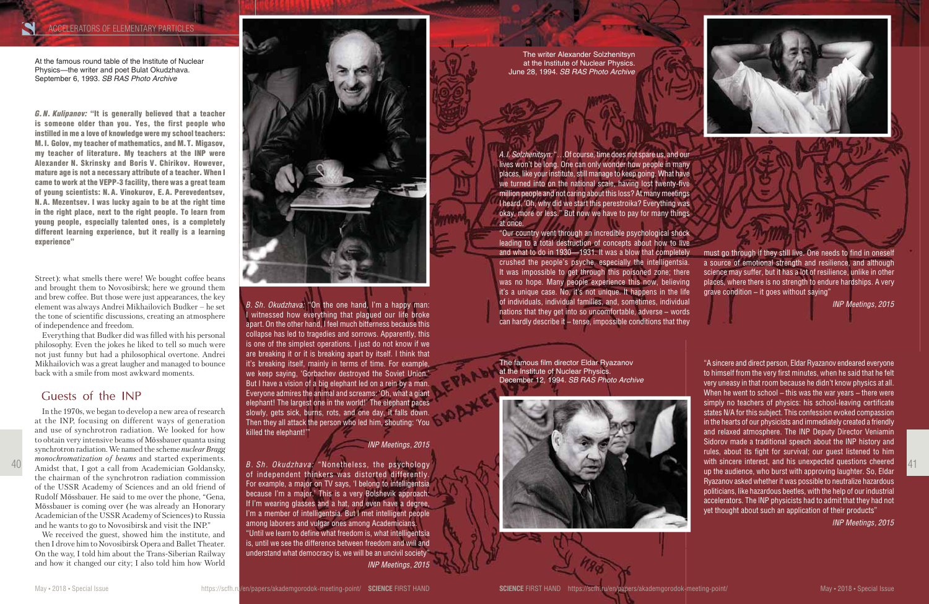Street): what smells there were! We bought coffee beans and brought them to Novosibirsk; here we ground them and brew coffee. But those were just appearances, the key element was always Andrei Mikhailovich Budker – he set the tone of scientific discussions, creating an atmosphere of independence and freedom.

Everything that Budker did was filled with his personal philosophy. Even the jokes he liked to tell so much were not just funny but had a philosophical overtone. Andrei Mikhailovich was a great laugher and managed to bounce back with a smile from most awkward moments.

#### Guests of the INP





In the 1970s, we began to develop a new area of research at the INP, focusing on different ways of generation and use of synchrotron radiation. We looked for how to obtain very intensive beams of Mössbauer quanta using synchrotron radiation. We named the scheme *nuclear Bragg monochromatization of beams* and started experiments. Amidst that, I got a call from Academician Goldansky, the chairman of the synchrotron radiation commission of the USSR Academy of Sciences and an old friend of Rudolf Mössbauer. He said to me over the phone, "Gena, Mössbauer is coming over (he was already an Honorary Academician of the USSR Academy of Sciences) to Russia and he wants to go to Novosibirsk and visit the INP."

We received the guest, showed him the institute, and then I drove him to Novosibirsk Opera and Ballet Theater. On the way, I told him about the Trans-Siberian Railway and how it changed our city; I also told him how World



of independent thinkers was distorted differently. For example, a major on TV says, 'I belong to intelligentsia because I'm a major.' This is a very Bolshevik approach: If I'm wearing glasses and a hat, and even have a degree, I'm a member of intelligentsia. But I met intelligent people among laborers and vulgar ones among Academicians. "Until we learn to define what freedom is, what intelligentsia is, until we see the difference between freedom and will and understand what democracy is, we will be an uncivil society" *INP Meetings, 2015*

"A sincere and direct person, Eldar Ryazanov endeared everyone to himself from the very first minutes, when he said that he felt very uneasy in that room because he didn't know physics at all. When he went to school – this was the war years – there were simply no teachers of physics: his school-leaving certificate states N/A for this subject. This confession evoked compassion in the hearts of our physicists and immediately created a friendly and relaxed atmosphere. The INP Deputy Director Veniamin Sidorov made a traditional speech about the INP history and rules, about its fight for survival; our guest listened to him with sincere interest, and his unexpected questions cheered up the audience, who burst with approving laughter. So, Eldar Ryazanov asked whether it was possible to neutralize hazardous politicians, like hazardous beetles, with the help of our industrial accelerators. The INP physicists had to admit that they had not yet thought about such an application of their products"

*INP Meetings, 2015*

*G. N. Kulipanov:* "It is generally believed that a teacher is someone older than you. Yes, the first people who instilled in me a love of knowledge were my school teachers: M. I. Golov, my teacher of mathematics, and M. T. Migasov, my teacher of literature. My teachers at the INP were Alexander N. Skrinsky and Boris V. Chirikov. However, mature age is not a necessary attribute of a teacher. When I came to work at the VEPP-3 facility, there was a great team of young scientists: N. A. Vinokurov, E. A. Perevedentsev, N. A. Mezentsev. I was lucky again to be at the right time in the right place, next to the right people. To learn from young people, especially talented ones, is a completely different learning experience, but it really is a learning experience"

At the famous round table of the Institute of Nuclear Physics—the writer and poet Bulat Okudzhava. September 6, 1993. *SB RAS Photo Archive*

> The famous film director Eldar Ryazanov at the Institute of Nuclear Physics. December 12, 1994. *SB RAS Photo Archive*

*A. I. Solzhenitsyn:* "…Of course, time does not spare us, and our lives won't be long. One can only wonder how people in many places, like your institute, still manage to keep going. What have we turned into on the national scale, having lost twenty-five million people and not caring about this loss? At many meetings I heard, 'Oh, why did we start this perestroika? Everything was okay, more or less." But now we have to pay for many things at once.

"Our country went through an incredible psychological shock leading to a total destruction of concepts about how to live and what to do in 1930—1931. It was a blow that completely crushed the people's psyche, especially the intelligentsia. It was impossible to get through this poisoned zone; there was no hope. Many people experience this now, believing it's a unique case. No, it's not unique. It happens in the life of individuals, individual families, and, sometimes, individual nations that they get into so uncomfortable, adverse – words can hardly describe it – tense, impossible conditions that they

must go through if they still live. One needs to find in oneself a source of emotional strength and resilience, and although science may suffer, but it has a lot of resilience, unlike in other places, where there is no strength to endure hardships. A very grave condition – it goes without saying"

*INP Meetings, 2015*

The writer Alexander Solzhenitsyn at the Institute of Nuclear Physics. June 28, 1994. *SB RAS Photo Archive*

*B. Sh. Okudzhava:* "On the one hand, I'm a happy man: I witnessed how everything that plagued our life broke apart. On the other hand, I feel much bitterness because this collapse has led to tragedies and sorrows. Apparently, this is one of the simplest operations. I just do not know if we are breaking it or it is breaking apart by itself. I think that it's breaking itself, mainly in terms of time. For example, we keep saying, 'Gorbachev destroyed the Soviet Union.' But I have a vision of a big elephant led on a rein by a man. Everyone admires the animal and screams: 'Oh, what a giant elephant! The largest one in the world!' The elephant paces slowly, gets sick, burns, rots, and one day, it falls down. Then they all attack the person who led him, shouting: 'You killed the elephant!'"

*INP Meetings, 2015*

#### ACCELERATORS OF ELEMENTARY PARTICLES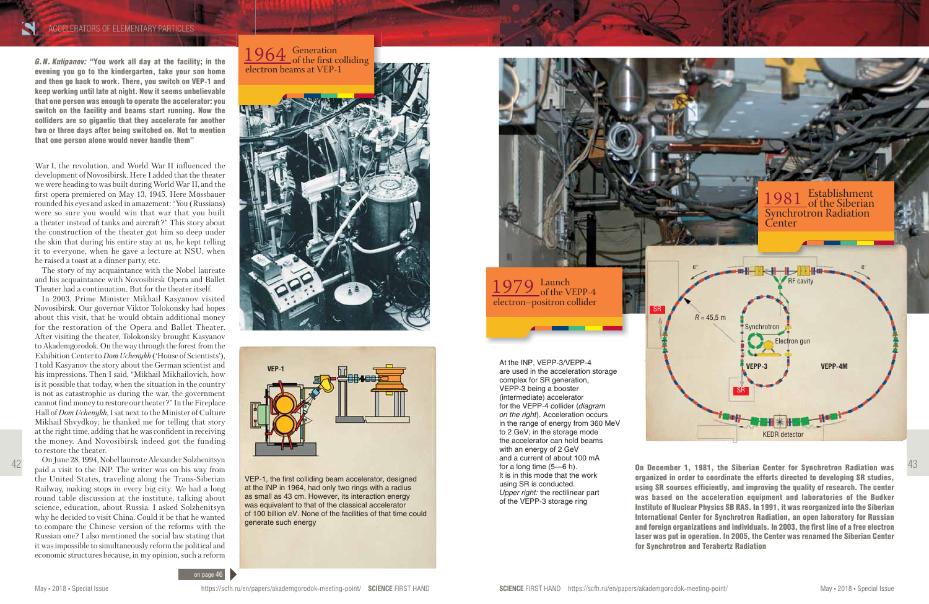*G. N. Kulipanov:* "You work all day at the facility; in the evening you go to the kindergarten, take your son home and then go back to work. There, you switch on VEP-1 and keep working until late at night. Now it seems unbelievable that one person was enough to operate the accelerator: you switch on the facility and beams start running. Now the colliders are so gigantic that they accelerate for another two or three days after being switched on. Not to mention that one person alone would never handle them"

War I, the revolution, and World War II influenced the development of Novosibirsk. Here I added that the theater we were heading to was built during World War II, and the first opera premiered on May 13, 1945. Here Mössbauer rounded his eyes and asked in amazement: "You (Russians) were so sure you would win that war that you built a theater instead of tanks and aircraft?" This story about the construction of the theater got him so deep under the skin that during his entire stay at us, he kept telling it to everyone, when he gave a lecture at NSU, when he raised a toast at a dinner party, etc.

The story of my acquaintance with the Nobel laureate and his acquaintance with Novosibirsk Opera and Ballet Theater had a continuation. But for the theater itself.

In 2003, Prime Minister Mikhail Kasyanov visited Novosibirsk. Our governor Viktor Tolokonsky had hopes about this visit, that he would obtain additional money for the restoration of the Opera and Ballet Theater. After visiting the theater, Tolokonsky brought Kasyanov to Akademgorodok. On the way through the forest from the Exhibition Center to *Dom Uchenykh* ('House of Scientists'), I told Kasyanov the story about the German scientist and his impressions. Then I said, "Mikhail Mikhailovich, how is it possible that today, when the situation in the country is not as catastrophic as during the war, the government cannot find money to restore our theater?" In the Fireplace Hall of *Dom Uchenykh*, I sat next to the Minister of Culture Mikhail Shvydkoy; he thanked me for telling that story at the right time, adding that he was confident in receiving the money. And Novosibirsk indeed got the funding to restore the theater.

 $42$  On June 28, 1994, Nobel laureate Alexander Solzhenitsyn and a currely of a long time (5—6 h). **On December 1, 1981, the Siberian Center for Synchrotron Radiation was** organized in order to coordinate the efforts directed to developing SR studies, using SR sources efficiently, and improving the quality of research. The center was based on the acceleration equipment and laboratories of the Budker Institute of Nuclear Physics SB RAS. In 1991, it was reorganized into the Siberian International Center for Synchrotron Radiation, an open laboratory for Russian and foreign organizations and individuals. In 2003, the first line of a free electron laser was put in operation. In 2005, the Center was renamed the Siberian Center for Synchrotron and Terahertz Radiation

1964 Generation<br>of the first colliding electron beams at VEP-1



On June 28, 1994, Nobel laureate Alexander Solzhenitsyn paid a visit to the INP. The writer was on his way from the United States, traveling along the Trans-Siberian Railway, making stops in every big city. We had a long round table discussion at the institute, talking about science, education, about Russia. I asked Solzhenitsyn why he decided to visit China. Could it be that he wanted to compare the Chinese version of the reforms with the Russian one? I also mentioned the social law stating that it was impossible to simultaneously reform the political and economic structures because, in my opinion, such a reform

At the INP, VEPP-3/VEPP-4 are used in the acceleration storage complex for SR generation, VEPP-3 being a booster (intermediate) accelerator for the VEPP-4 collider (*diagram on the right*). Acceleration occurs in the range of energy from 360 MeV to 2 GeV; in the storage mode the accelerator can hold beams with an energy of 2 GeV and a current of about 100 mA for a long time (5—6 h). It is in this mode that the work using SR is conducted. *Upper right:* the rectilinear part of the VEPP-3 storage ring

VEP-1, the first colliding beam accelerator, designed at the INP in 1964, had only two rings with a radius as small as 43 cm. However, its interaction energy was equivalent to that of the classical accelerator of 100 billion eV. None of the facilities of that time could generate such energy

1979 Launch<br>of the VEPP-4





electron–positron collider



#### ACCELERATORS OF ELEMENTARY PARTICLES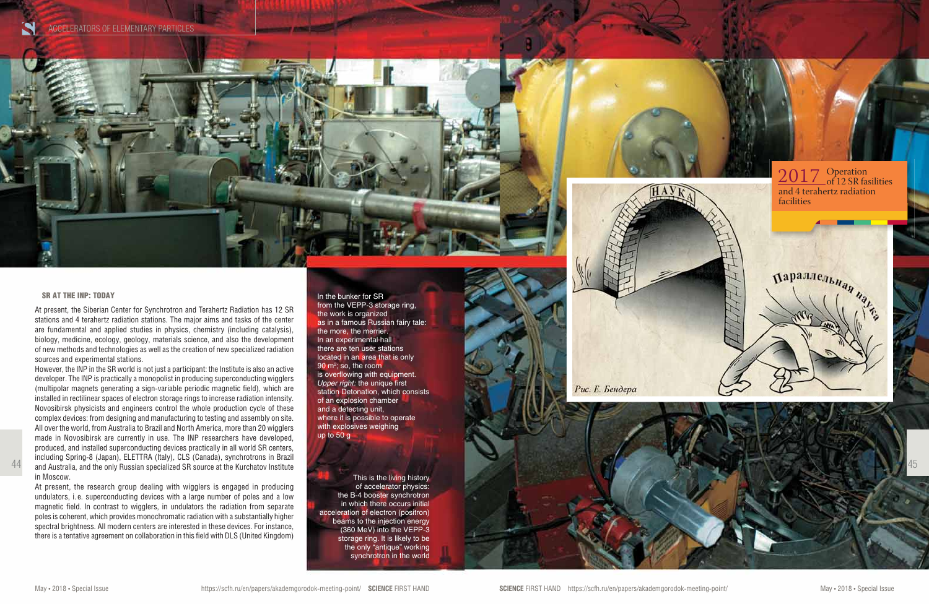45

In the bunker for SR from the VEPP-3 storage ring, the work is organized as in a famous Russian fairy tale: the more, the merrier. In an experimental hall there are ten user stations located in an area that is only 90 m<sup>2</sup>; so, the room is overflowing with equipment. *Upper right:* the unique first station Detonation, which consists of an explosion chamber and a detecting unit, where it is possible to operate with explosives weighing up to 50 g

This is the living history of accelerator physics: the B-4 booster synchrotron in which there occurs initial acceleration of electron (positron) beams to the injection energy (360 MeV) into the VEPP-3 storage ring. It is likely to be the only "antique" working synchrotron in the world

#### SR AT THE INP: TODAY

At present, the Siberian Center for Synchrotron and Terahertz Radiation has 12 SR stations and 4 terahertz radiation stations. The major aims and tasks of the center are fundamental and applied studies in physics, chemistry (including catalysis), biology, medicine, ecology, geology, materials science, and also the development of new methods and technologies as well as the creation of new specialized radiation sources and experimental stations.

## $2017$  Operation<br>of 12 SR fasilities and 4 terahertz radiation

However, the INP in the SR world is not just a participant: the Institute is also an active developer. The INP is practically a monopolist in producing superconducting wigglers (multipolar magnets generating a sign-variable periodic magnetic field), which are installed in rectilinear spaces of electron storage rings to increase radiation intensity. Novosibirsk physicists and engineers control the whole production cycle of these complex devices: from designing and manufacturing to testing and assembly on site. All over the world, from Australia to Brazil and North America, more than 20 wigglers made in Novosibirsk are currently in use. The INP researchers have developed, produced, and installed superconducting devices practically in all world SR centers, including Spring-8 (Japan), ELETTRA (Italy), CLS (Canada), synchrotrons in Brazil and Australia, and the only Russian specialized SR source at the Kurchatov Institute in Moscow.

At present, the research group dealing with wigglers is engaged in producing undulators, i. e. superconducting devices with a large number of poles and a low magnetic field. In contrast to wigglers, in undulators the radiation from separate poles is coherent, which provides monochromatic radiation with a substantially higher spectral brightness. All modern centers are interested in these devices. For instance, there is a tentative agreement on collaboration in this field with DLS (United Kingdom)





44